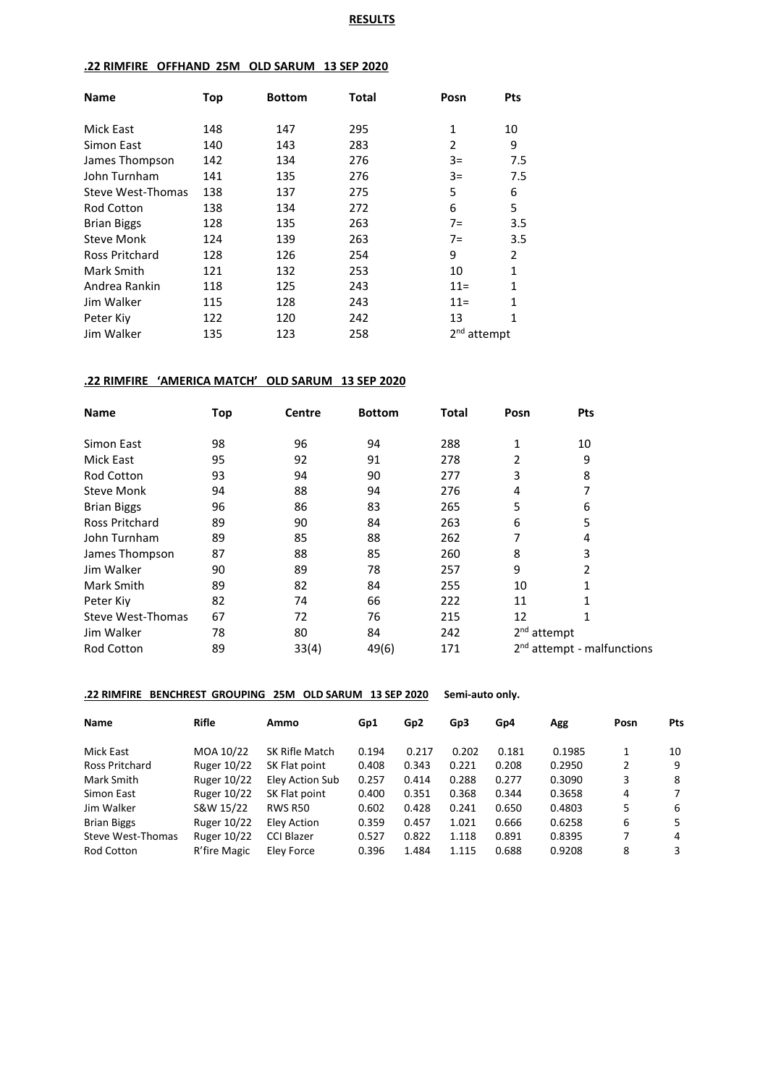### **RESULTS**

## **.22 RIMFIRE OFFHAND 25M OLD SARUM 13 SEP 2020**

| <b>Name</b>              | Top | <b>Bottom</b> | <b>Total</b> | Posn                       | <b>Pts</b> |
|--------------------------|-----|---------------|--------------|----------------------------|------------|
| Mick East                | 148 | 147           | 295          | $\mathbf{1}$               | 10         |
| Simon East               | 140 | 143           | 283          | 2                          | 9          |
| James Thompson           | 142 | 134           | 276          | $3=$                       | 7.5        |
| John Turnham             | 141 | 135           | 276          | $3=$                       | 7.5        |
| <b>Steve West-Thomas</b> | 138 | 137           | 275          | 5                          | 6          |
| <b>Rod Cotton</b>        | 138 | 134           | 272          | 6                          | 5          |
| <b>Brian Biggs</b>       | 128 | 135           | 263          | $7=$                       | 3.5        |
| Steve Monk               | 124 | 139           | 263          | $7=$                       | 3.5        |
| Ross Pritchard           | 128 | 126           | 254          | 9                          | 2          |
| Mark Smith               | 121 | 132           | 253          | 10                         | 1          |
| Andrea Rankin            | 118 | 125           | 243          | $11 =$                     | 1          |
| Jim Walker               | 115 | 128           | 243          | $11 =$                     | 1          |
| Peter Kiv                | 122 | 120           | 242          | 13                         | 1          |
| Jim Walker               | 135 | 123           | 258          | 2 <sub>nd</sub><br>attempt |            |

### **.22 RIMFIRE 'AMERICA MATCH' OLD SARUM 13 SEP 2020**

| <b>Name</b>              | Top | <b>Centre</b> | <b>Bottom</b> | <b>Total</b> | Posn          | Pts                                    |  |
|--------------------------|-----|---------------|---------------|--------------|---------------|----------------------------------------|--|
| Simon East               | 98  | 96            | 94            | 288          | 1             | 10                                     |  |
| Mick East                | 95  | 92            | 91            | 278          | 2             | 9                                      |  |
| <b>Rod Cotton</b>        | 93  | 94            | 90            | 277          | 3             | 8                                      |  |
| <b>Steve Monk</b>        | 94  | 88            | 94            | 276          | 4             | 7                                      |  |
| <b>Brian Biggs</b>       | 96  | 86            | 83            | 265          | 5             | 6                                      |  |
| <b>Ross Pritchard</b>    | 89  | 90            | 84            | 263          | 6             | 5                                      |  |
| John Turnham             | 89  | 85            | 88            | 262          |               | 4                                      |  |
| James Thompson           | 87  | 88            | 85            | 260          | 8             | 3                                      |  |
| Jim Walker               | 90  | 89            | 78            | 257          | 9             | 2                                      |  |
| Mark Smith               | 89  | 82            | 84            | 255          | 10            | 1                                      |  |
| Peter Kiv                | 82  | 74            | 66            | 222          | 11            | 1                                      |  |
| <b>Steve West-Thomas</b> | 67  | 72            | 76            | 215          | 12            | 1                                      |  |
| Jim Walker               | 78  | 80            | 84            | 242          | $2nd$ attempt |                                        |  |
| <b>Rod Cotton</b>        | 89  | 33(4)         | 49(6)         | 171          |               | 2 <sup>nd</sup> attempt - malfunctions |  |

### **.22 RIMFIRE BENCHREST GROUPING 25M OLD SARUM 13 SEP 2020 Semi-auto only.**

| <b>Name</b>           | <b>Rifle</b> | Ammo              | Gp1   | Gp <sub>2</sub> | Gp3   | Gp4   | Agg    | Posn | <b>Pts</b> |
|-----------------------|--------------|-------------------|-------|-----------------|-------|-------|--------|------|------------|
| Mick East             | MOA 10/22    | SK Rifle Match    | 0.194 | 0.217           | 0.202 | 0.181 | 0.1985 | 1    | 10         |
| <b>Ross Pritchard</b> | Ruger 10/22  | SK Flat point     | 0.408 | 0.343           | 0.221 | 0.208 | 0.2950 | 2    | 9          |
| Mark Smith            | Ruger 10/22  | Eley Action Sub   | 0.257 | 0.414           | 0.288 | 0.277 | 0.3090 | 3    | 8          |
| Simon East            | Ruger 10/22  | SK Flat point     | 0.400 | 0.351           | 0.368 | 0.344 | 0.3658 | 4    | 7          |
| Jim Walker            | S&W 15/22    | <b>RWS R50</b>    | 0.602 | 0.428           | 0.241 | 0.650 | 0.4803 | 5    | 6          |
| <b>Brian Biggs</b>    | Ruger 10/22  | Eley Action       | 0.359 | 0.457           | 1.021 | 0.666 | 0.6258 | 6    | 5.         |
| Steve West-Thomas     | Ruger 10/22  | <b>CCI Blazer</b> | 0.527 | 0.822           | 1.118 | 0.891 | 0.8395 | 7    | 4          |
| <b>Rod Cotton</b>     | R'fire Magic | Elev Force        | 0.396 | 1.484           | 1.115 | 0.688 | 0.9208 | 8    | 3          |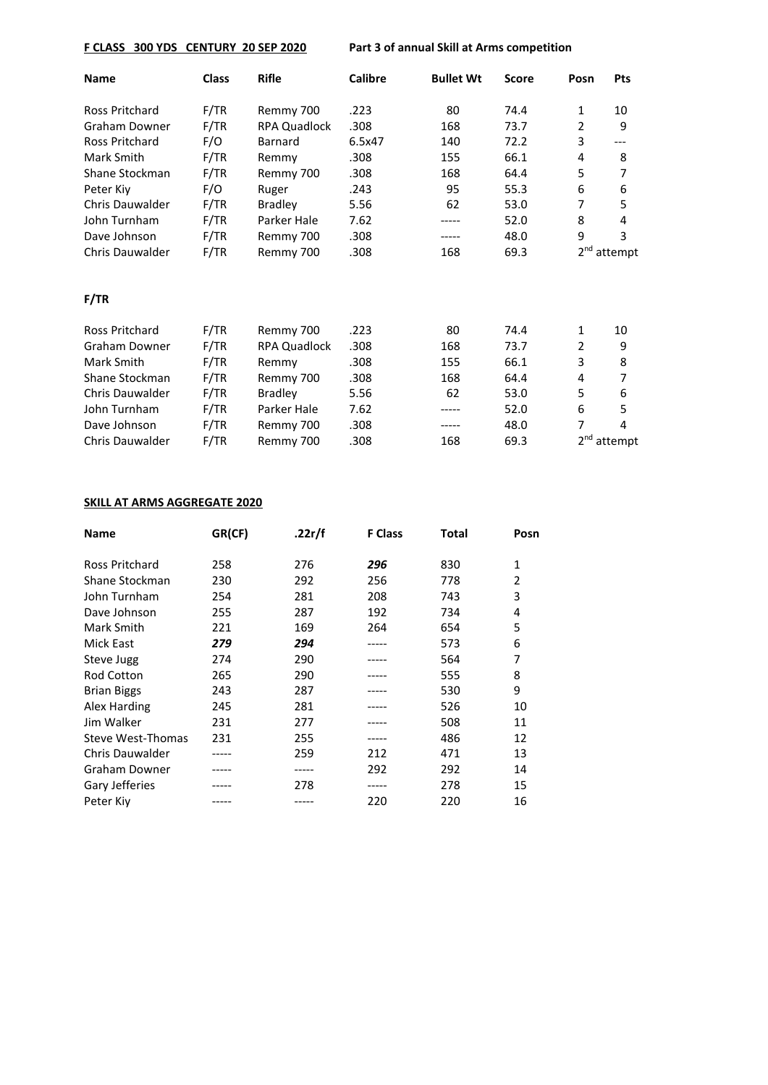# **F CLASS 300 YDS CENTURY 20 SEP 2020 Part 3 of annual Skill at Arms competition**

| <b>Name</b>            | <b>Class</b> | <b>Rifle</b>        | <b>Calibre</b> | <b>Bullet Wt</b> | <b>Score</b> | Posn | <b>Pts</b>              |
|------------------------|--------------|---------------------|----------------|------------------|--------------|------|-------------------------|
| <b>Ross Pritchard</b>  | F/TR         | Remmy 700           | .223           | 80               | 74.4         | 1    | 10                      |
| <b>Graham Downer</b>   | F/TR         | RPA Quadlock        | .308           | 168              | 73.7         | 2    | 9                       |
| Ross Pritchard         | F/O          | Barnard             | 6.5x47         | 140              | 72.2         | 3    | ---                     |
| Mark Smith             | F/TR         | Remmy               | .308           | 155              | 66.1         | 4    | 8                       |
| Shane Stockman         | F/TR         | Remmy 700           | .308           | 168              | 64.4         | 5    | $\overline{7}$          |
| Peter Kiy              | F/O          | Ruger               | .243           | 95               | 55.3         | 6    | 6                       |
| Chris Dauwalder        | F/TR         | <b>Bradley</b>      | 5.56           | 62               | 53.0         | 7    | 5                       |
| John Turnham           | F/TR         | Parker Hale         | 7.62           | -----            | 52.0         | 8    | 4                       |
| Dave Johnson           | F/TR         | Remmy 700           | .308           | -----            | 48.0         | 9    | 3                       |
| Chris Dauwalder        | F/TR         | Remmy 700           | .308           | 168              | 69.3         |      | 2 <sup>nd</sup> attempt |
| F/TR                   |              |                     |                |                  |              |      |                         |
| <b>Ross Pritchard</b>  | F/TR         | Remmy 700           | .223           | 80               | 74.4         | 1    | 10                      |
| <b>Graham Downer</b>   | F/TR         | <b>RPA Quadlock</b> | .308           | 168              | 73.7         | 2    | 9                       |
| Mark Smith             | F/TR         | Remmy               | .308           | 155              | 66.1         | 3    | 8                       |
| Shane Stockman         | F/TR         | Remmy 700           | .308           | 168              | 64.4         | 4    | 7                       |
| <b>Chris Dauwalder</b> | F/TR         | <b>Bradley</b>      | 5.56           | 62               | 53.0         | 5    | 6                       |
| John Turnham           | F/TR         | Parker Hale         | 7.62           |                  | 52.0         | 6    | 5                       |
| Dave Johnson           | F/TR         | Remmy 700           | .308           |                  | 48.0         | 7    | 4                       |
| <b>Chris Dauwalder</b> | F/TR         | Remmy 700           | .308           | 168              | 69.3         |      | 2 <sup>nd</sup> attempt |

### **SKILL AT ARMS AGGREGATE 2020**

| <b>Name</b>              | GR(CF) | .22 $r/f$ | <b>F Class</b> | Total | Posn |
|--------------------------|--------|-----------|----------------|-------|------|
|                          |        |           |                |       |      |
| <b>Ross Pritchard</b>    | 258    | 276       | 296            | 830   | 1    |
| Shane Stockman           | 230    | 292       | 256            | 778   | 2    |
| John Turnham             | 254    | 281       | 208            | 743   | 3    |
| Dave Johnson             | 255    | 287       | 192            | 734   | 4    |
| Mark Smith               | 221    | 169       | 264            | 654   | 5    |
| Mick East                | 279    | 294       |                | 573   | 6    |
| Steve Jugg               | 274    | 290       |                | 564   | 7    |
| Rod Cotton               | 265    | 290       |                | 555   | 8    |
| <b>Brian Biggs</b>       | 243    | 287       |                | 530   | 9    |
| Alex Harding             | 245    | 281       |                | 526   | 10   |
| Jim Walker               | 231    | 277       |                | 508   | 11   |
| <b>Steve West-Thomas</b> | 231    | 255       | -----          | 486   | 12   |
| Chris Dauwalder          |        | 259       | 212            | 471   | 13   |
| Graham Downer            |        | -----     | 292            | 292   | 14   |
| Gary Jefferies           |        | 278       |                | 278   | 15   |
| Peter Kiv                |        |           | 220            | 220   | 16   |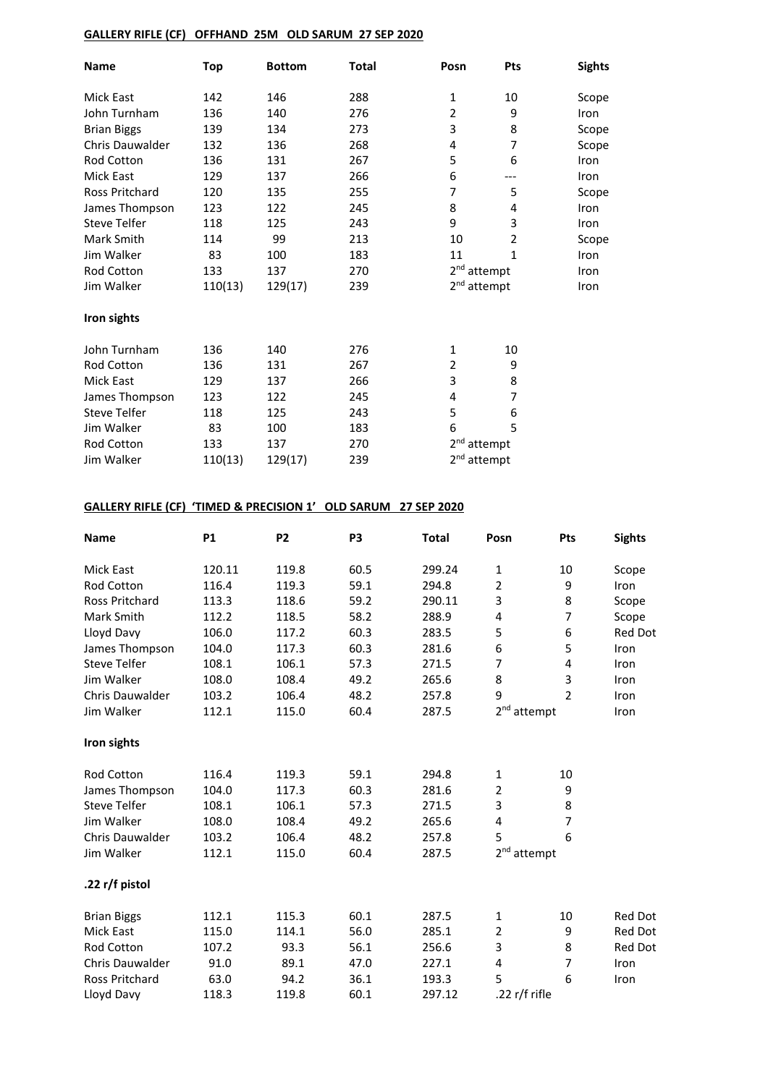### **GALLERY RIFLE (CF) OFFHAND 25M OLD SARUM 27 SEP 2020**

| <b>Name</b>            | <b>Top</b> | <b>Bottom</b> | Total | Posn                    | <b>Pts</b>              | <b>Sights</b> |
|------------------------|------------|---------------|-------|-------------------------|-------------------------|---------------|
| Mick East              | 142        | 146           | 288   | 1                       | 10                      | Scope         |
| John Turnham           | 136        | 140           | 276   | $\overline{2}$          | 9                       | Iron          |
| <b>Brian Biggs</b>     | 139        | 134           | 273   | 3                       | 8                       | Scope         |
| <b>Chris Dauwalder</b> | 132        | 136           | 268   | 4                       | 7                       | Scope         |
| Rod Cotton             | 136        | 131           | 267   | 5                       | 6                       | Iron          |
| Mick East              | 129        | 137           | 266   | 6                       | ---                     | Iron          |
| Ross Pritchard         | 120        | 135           | 255   | 7                       | 5                       | Scope         |
| James Thompson         | 123        | 122           | 245   | 8                       | 4                       | Iron          |
| <b>Steve Telfer</b>    | 118        | 125           | 243   | 9                       | 3                       | Iron          |
| Mark Smith             | 114        | 99            | 213   | 10                      | $\overline{2}$          | Scope         |
| Jim Walker             | 83         | 100           | 183   | 11                      | 1                       | Iron          |
| Rod Cotton             | 133        | 137           | 270   |                         | 2 <sup>nd</sup> attempt |               |
| Jim Walker             | 110(13)    | 129(17)       | 239   | 2 <sup>nd</sup> attempt |                         | Iron          |
| Iron sights            |            |               |       |                         |                         |               |
| John Turnham           | 136        | 140           | 276   | 1                       | 10                      |               |
| Rod Cotton             | 136        | 131           | 267   | 2                       | 9                       |               |
| Mick East              | 129        | 137           | 266   | 3                       | 8                       |               |
| James Thompson         | 123        | 122           | 245   | 4                       | 7                       |               |
| <b>Steve Telfer</b>    | 118        | 125           | 243   | 5                       | 6                       |               |
| Jim Walker             | 83         | 100           | 183   | 6                       | 5                       |               |
| Rod Cotton             | 133        | 137           | 270   | 2 <sub>nd</sub>         | attempt                 |               |
| Jim Walker             | 110(13)    | 129(17)       | 239   | 2 <sup>nd</sup> attempt |                         |               |

### **GALLERY RIFLE (CF) 'TIMED & PRECISION 1' OLD SARUM 27 SEP 2020**

| <b>Name</b>            | <b>P1</b> | P <sub>2</sub> | P <sub>3</sub> | <b>Total</b> | Posn                    | Pts            | <b>Sights</b> |
|------------------------|-----------|----------------|----------------|--------------|-------------------------|----------------|---------------|
| Mick East              | 120.11    | 119.8          | 60.5           | 299.24       | 1                       | 10             | Scope         |
| <b>Rod Cotton</b>      | 116.4     | 119.3          | 59.1           | 294.8        | $\overline{2}$          | 9              | Iron          |
| <b>Ross Pritchard</b>  | 113.3     | 118.6          | 59.2           | 290.11       | 3                       | 8              | Scope         |
| Mark Smith             | 112.2     | 118.5          | 58.2           | 288.9        | $\overline{4}$          | $\overline{7}$ | Scope         |
| Lloyd Davy             | 106.0     | 117.2          | 60.3           | 283.5        | 5                       | 6              | Red Dot       |
| James Thompson         | 104.0     | 117.3          | 60.3           | 281.6        | 6                       | 5              | Iron          |
| <b>Steve Telfer</b>    | 108.1     | 106.1          | 57.3           | 271.5        | 7                       | 4              | Iron          |
| Jim Walker             | 108.0     | 108.4          | 49.2           | 265.6        | 8                       | 3              | Iron          |
| <b>Chris Dauwalder</b> | 103.2     | 106.4          | 48.2           | 257.8        | 9                       | $\mathfrak{p}$ | Iron          |
| Jim Walker             | 112.1     | 115.0          | 60.4           | 287.5        | 2 <sup>nd</sup> attempt |                | Iron          |
| Iron sights            |           |                |                |              |                         |                |               |
| <b>Rod Cotton</b>      | 116.4     | 119.3          | 59.1           | 294.8        | 1                       | 10             |               |
| James Thompson         | 104.0     | 117.3          | 60.3           | 281.6        | $\overline{2}$          | 9              |               |
| <b>Steve Telfer</b>    | 108.1     | 106.1          | 57.3           | 271.5        | 3                       | 8              |               |
| Jim Walker             | 108.0     | 108.4          | 49.2           | 265.6        | 4                       | $\overline{7}$ |               |
| <b>Chris Dauwalder</b> | 103.2     | 106.4          | 48.2           | 257.8        | 5                       | 6              |               |
| Jim Walker             | 112.1     | 115.0          | 60.4           | 287.5        | 2 <sup>nd</sup> attempt |                |               |
| .22 r/f pistol         |           |                |                |              |                         |                |               |
| <b>Brian Biggs</b>     | 112.1     | 115.3          | 60.1           | 287.5        | 1                       | 10             | Red Dot       |
| <b>Mick East</b>       | 115.0     | 114.1          | 56.0           | 285.1        | $\mathbf 2$             | 9              | Red Dot       |
| Rod Cotton             | 107.2     | 93.3           | 56.1           | 256.6        | 3                       | 8              | Red Dot       |
| <b>Chris Dauwalder</b> | 91.0      | 89.1           | 47.0           | 227.1        | 4                       | $\overline{7}$ | Iron          |
| Ross Pritchard         | 63.0      | 94.2           | 36.1           | 193.3        | 5                       | 6              | Iron          |
| Lloyd Davy             | 118.3     | 119.8          | 60.1           | 297.12       | .22 r/f rifle           |                |               |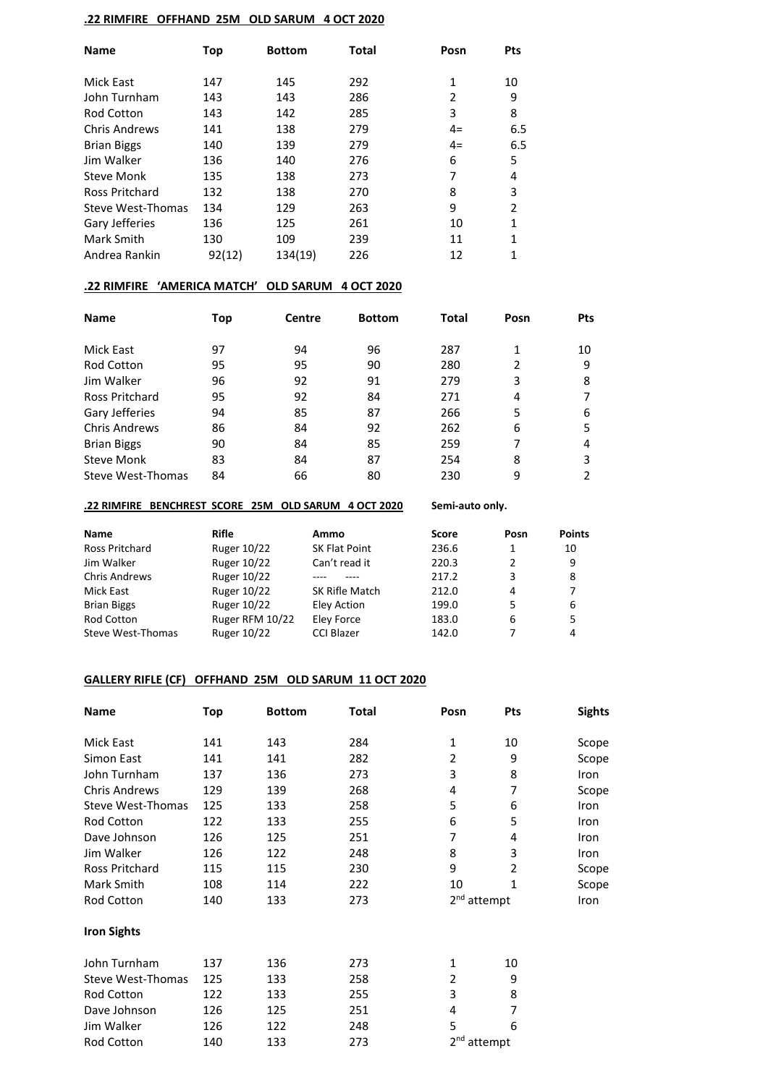### **.22 RIMFIRE OFFHAND 25M OLD SARUM 4 OCT 2020**

| <b>Name</b>          | Top    | <b>Bottom</b> | <b>Total</b> | Posn | <b>Pts</b> |
|----------------------|--------|---------------|--------------|------|------------|
| Mick East            | 147    | 145           | 292          | 1    | 10         |
|                      |        |               |              |      |            |
| John Turnham         | 143    | 143           | 286          | 2    | 9          |
| <b>Rod Cotton</b>    | 143    | 142           | 285          | 3    | 8          |
| <b>Chris Andrews</b> | 141    | 138           | 279          | $4=$ | 6.5        |
| <b>Brian Biggs</b>   | 140    | 139           | 279          | $4=$ | 6.5        |
| Jim Walker           | 136    | 140           | 276          | 6    | 5          |
| <b>Steve Monk</b>    | 135    | 138           | 273          | 7    | 4          |
| Ross Pritchard       | 132    | 138           | 270          | 8    | 3          |
| Steve West-Thomas    | 134    | 129           | 263          | 9    | 2          |
| Gary Jefferies       | 136    | 125           | 261          | 10   | 1          |
| Mark Smith           | 130    | 109           | 239          | 11   | 1          |
| Andrea Rankin        | 92(12) | 134(19)       | 226          | 12   | 1          |

# **.22 RIMFIRE 'AMERICA MATCH' OLD SARUM 4 OCT 2020**

| <b>Name</b>           | Top | Centre | <b>Bottom</b> | Total | Posn | <b>Pts</b> |
|-----------------------|-----|--------|---------------|-------|------|------------|
| Mick East             | 97  | 94     | 96            | 287   | 1    | 10         |
| <b>Rod Cotton</b>     | 95  | 95     | 90            | 280   | 2    | 9          |
| Jim Walker            | 96  | 92     | 91            | 279   | 3    | 8          |
| <b>Ross Pritchard</b> | 95  | 92     | 84            | 271   | 4    |            |
| Gary Jefferies        | 94  | 85     | 87            | 266   | 5    | 6          |
| <b>Chris Andrews</b>  | 86  | 84     | 92            | 262   | 6    | 5          |
| <b>Brian Biggs</b>    | 90  | 84     | 85            | 259   |      | 4          |
| <b>Steve Monk</b>     | 83  | 84     | 87            | 254   | 8    | 3          |
| Steve West-Thomas     | 84  | 66     | 80            | 230   | 9    | 2          |

#### **.22 RIMFIRE BENCHREST SCORE 25M OLD SARUM 4 OCT 2020 Semi-auto only.**

| Name               | Rifle           | Ammo              | <b>Score</b> | Posn | <b>Points</b> |
|--------------------|-----------------|-------------------|--------------|------|---------------|
| Ross Pritchard     | Ruger 10/22     | SK Flat Point     | 236.6        |      | 10            |
| Jim Walker         | Ruger 10/22     | Can't read it     | 220.3        | 2    | 9             |
| Chris Andrews      | Ruger 10/22     |                   | 217.2        | 3    | 8             |
| Mick East          | Ruger 10/22     | SK Rifle Match    | 212.0        | 4    |               |
| <b>Brian Biggs</b> | Ruger 10/22     | Eley Action       | 199.0        | 5    | 6             |
| <b>Rod Cotton</b>  | Ruger RFM 10/22 | Eley Force        | 183.0        | 6    | 5             |
| Steve West-Thomas  | Ruger 10/22     | <b>CCI Blazer</b> | 142.0        |      | 4             |

### **GALLERY RIFLE (CF) OFFHAND 25M OLD SARUM 11 OCT 2020**

| <b>Name</b>              | <b>Top</b> | <b>Bottom</b> | Total | Posn                    | <b>Pts</b>     | <b>Sights</b> |
|--------------------------|------------|---------------|-------|-------------------------|----------------|---------------|
| Mick East                | 141        | 143           | 284   | 1                       | 10             | Scope         |
| Simon East               | 141        | 141           | 282   | 2                       | 9              | Scope         |
| John Turnham             | 137        | 136           | 273   | 3                       | 8              | Iron          |
| <b>Chris Andrews</b>     | 129        | 139           | 268   | 4                       | 7              | Scope         |
| <b>Steve West-Thomas</b> | 125        | 133           | 258   | 5                       | 6              | Iron          |
| Rod Cotton               | 122        | 133           | 255   | 6                       | 5              | Iron          |
| Dave Johnson             | 126        | 125           | 251   | 7                       | 4              | Iron          |
| Jim Walker               | 126        | 122           | 248   | 8                       | 3              | Iron          |
| <b>Ross Pritchard</b>    | 115        | 115           | 230   | 9                       | $\overline{2}$ | Scope         |
| Mark Smith               | 108        | 114           | 222   | 10                      | 1              | Scope         |
| Rod Cotton               | 140        | 133           | 273   | 2 <sup>nd</sup> attempt |                | Iron          |
| <b>Iron Sights</b>       |            |               |       |                         |                |               |
| John Turnham             | 137        | 136           | 273   | 1                       | 10             |               |
| Steve West-Thomas        | 125        | 133           | 258   | 2                       | 9              |               |
| Rod Cotton               | 122        | 133           | 255   | 3                       | 8              |               |
| Dave Johnson             | 126        | 125           | 251   | 4                       | 7              |               |
| Jim Walker               | 126        | 122           | 248   | 5                       | 6              |               |
| Rod Cotton               | 140        | 133           | 273   | 2 <sup>nd</sup> attempt |                |               |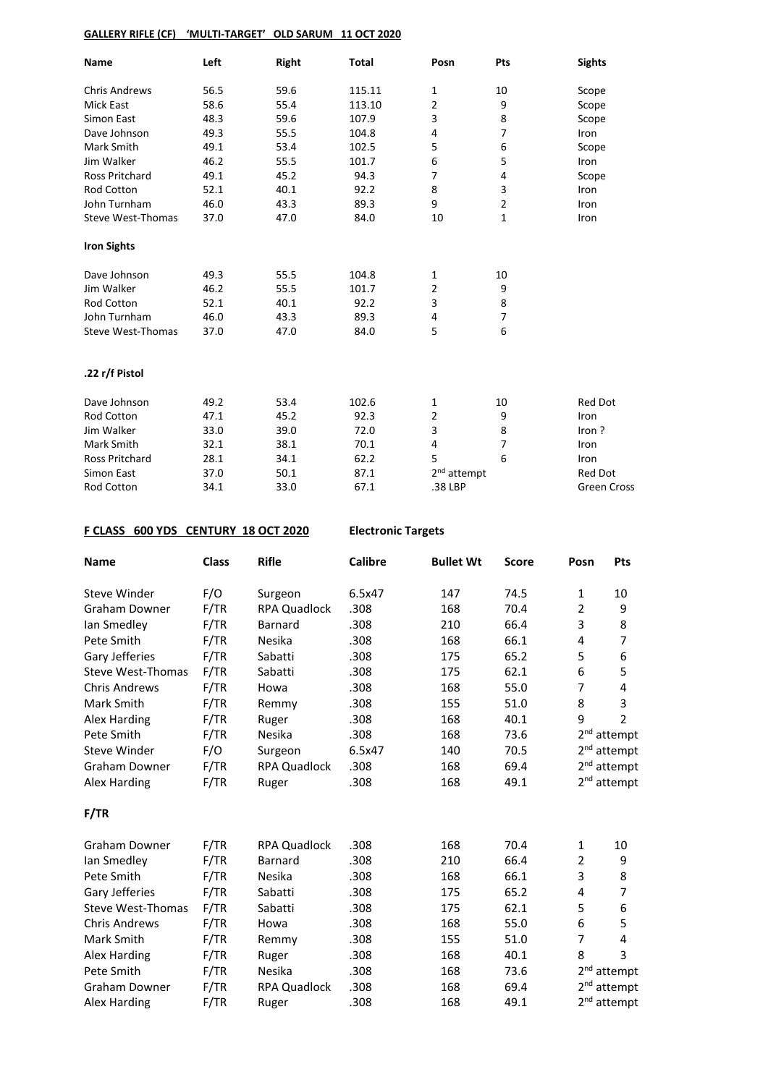### **GALLERY RIFLE (CF) 'MULTI-TARGET' OLD SARUM 11 OCT 2020**

| Name                     | Left | Right | <b>Total</b> | Posn                    | Pts            | <b>Sights</b>      |
|--------------------------|------|-------|--------------|-------------------------|----------------|--------------------|
| <b>Chris Andrews</b>     | 56.5 | 59.6  | 115.11       | 1                       | 10             | Scope              |
| <b>Mick East</b>         | 58.6 | 55.4  | 113.10       | $\overline{2}$          | 9              | Scope              |
| Simon East               | 48.3 | 59.6  | 107.9        | 3                       | 8              | Scope              |
| Dave Johnson             | 49.3 | 55.5  | 104.8        | 4                       | 7              | Iron               |
| Mark Smith               | 49.1 | 53.4  | 102.5        | 5                       | 6              | Scope              |
| Jim Walker               | 46.2 | 55.5  | 101.7        | 6                       | 5              | Iron               |
| <b>Ross Pritchard</b>    | 49.1 | 45.2  | 94.3         | $\overline{7}$          | 4              | Scope              |
| <b>Rod Cotton</b>        | 52.1 | 40.1  | 92.2         | 8                       | 3              | Iron               |
| John Turnham             | 46.0 | 43.3  | 89.3         | 9                       | $\overline{2}$ | Iron               |
| <b>Steve West-Thomas</b> | 37.0 | 47.0  | 84.0         | 10                      | 1              | Iron               |
| <b>Iron Sights</b>       |      |       |              |                         |                |                    |
| Dave Johnson             | 49.3 | 55.5  | 104.8        | 1                       | 10             |                    |
| Jim Walker               | 46.2 | 55.5  | 101.7        | $\overline{2}$          | 9              |                    |
| <b>Rod Cotton</b>        | 52.1 | 40.1  | 92.2         | 3                       | 8              |                    |
| John Turnham             | 46.0 | 43.3  | 89.3         | 4                       | 7              |                    |
| <b>Steve West-Thomas</b> | 37.0 | 47.0  | 84.0         | 5                       | 6              |                    |
| .22 r/f Pistol           |      |       |              |                         |                |                    |
| Dave Johnson             | 49.2 | 53.4  | 102.6        | 1                       | 10             | <b>Red Dot</b>     |
| <b>Rod Cotton</b>        | 47.1 | 45.2  | 92.3         | $\overline{2}$          | 9              | Iron               |
| Jim Walker               | 33.0 | 39.0  | 72.0         | 3                       | 8              | Iron?              |
| Mark Smith               | 32.1 | 38.1  | 70.1         | 4                       | $\overline{7}$ | Iron               |
| Ross Pritchard           | 28.1 | 34.1  | 62.2         | 5                       | 6              | Iron               |
| Simon East               | 37.0 | 50.1  | 87.1         | 2 <sup>nd</sup> attempt |                | Red Dot            |
| Rod Cotton               | 34.1 | 33.0  | 67.1         | .38 LBP                 |                | <b>Green Cross</b> |

#### **F CLASS 600 YDS CENTURY 18 OCT 2020 Electronic Targets**

| <b>Name</b>              | <b>Class</b> | <b>Rifle</b>        | <b>Calibre</b> | <b>Bullet Wt</b> | <b>Score</b> | Posn            | Pts                     |
|--------------------------|--------------|---------------------|----------------|------------------|--------------|-----------------|-------------------------|
| Steve Winder             | F/O          | Surgeon             | 6.5x47         | 147              | 74.5         | $\mathbf{1}$    | 10                      |
| <b>Graham Downer</b>     | F/TR         | <b>RPA Quadlock</b> | .308           | 168              | 70.4         | $\overline{2}$  | 9                       |
| Ian Smedley              | F/TR         | Barnard             | .308           | 210              | 66.4         | 3               | 8                       |
| Pete Smith               | F/TR         | Nesika              | .308           | 168              | 66.1         | 4               | $\overline{7}$          |
| Gary Jefferies           | F/TR         | Sabatti             | .308           | 175              | 65.2         | 5               | 6                       |
| <b>Steve West-Thomas</b> | F/TR         | Sabatti             | .308           | 175              | 62.1         | 6               | 5                       |
| <b>Chris Andrews</b>     | F/TR         | Howa                | .308           | 168              | 55.0         | 7               | 4                       |
| Mark Smith               | F/TR         | Remmy               | .308           | 155              | 51.0         | 8               | 3                       |
| Alex Harding             | F/TR         | Ruger               | .308           | 168              | 40.1         | 9               | $\overline{2}$          |
| Pete Smith               | F/TR         | Nesika              | .308           | 168              | 73.6         |                 | 2 <sup>nd</sup> attempt |
| <b>Steve Winder</b>      | F/O          | Surgeon             | 6.5x47         | 140              | 70.5         |                 | 2 <sup>nd</sup> attempt |
| Graham Downer            | F/TR         | <b>RPA Quadlock</b> | .308           | 168              | 69.4         |                 | 2 <sup>nd</sup> attempt |
| Alex Harding             | F/TR         | Ruger               | .308           | 168              | 49.1         |                 | 2 <sup>nd</sup> attempt |
| F/TR                     |              |                     |                |                  |              |                 |                         |
| <b>Graham Downer</b>     | F/TR         | <b>RPA Quadlock</b> | .308           | 168              | 70.4         | $\mathbf{1}$    | 10                      |
| lan Smedley              | F/TR         | Barnard             | .308           | 210              | 66.4         | 2               | 9                       |
| Pete Smith               | F/TR         | Nesika              | .308           | 168              | 66.1         | 3               | 8                       |
| Gary Jefferies           | F/TR         | Sabatti             | .308           | 175              | 65.2         | 4               | $\overline{7}$          |
| <b>Steve West-Thomas</b> | F/TR         | Sabatti             | .308           | 175              | 62.1         | 5               | 6                       |
| <b>Chris Andrews</b>     | F/TR         | Howa                | .308           | 168              | 55.0         | 6               | 5                       |
| Mark Smith               | F/TR         | Remmy               | .308           | 155              | 51.0         | 7               | $\overline{4}$          |
| Alex Harding             | F/TR         | Ruger               | .308           | 168              | 40.1         | 8               | 3                       |
| Pete Smith               | F/TR         | Nesika              | .308           | 168              | 73.6         |                 | 2 <sup>nd</sup> attempt |
| <b>Graham Downer</b>     | F/TR         | <b>RPA Quadlock</b> | .308           | 168              | 69.4         | 2 <sup>nd</sup> | attempt                 |
| <b>Alex Harding</b>      | F/TR         | Ruger               | .308           | 168              | 49.1         |                 | 2 <sup>nd</sup> attempt |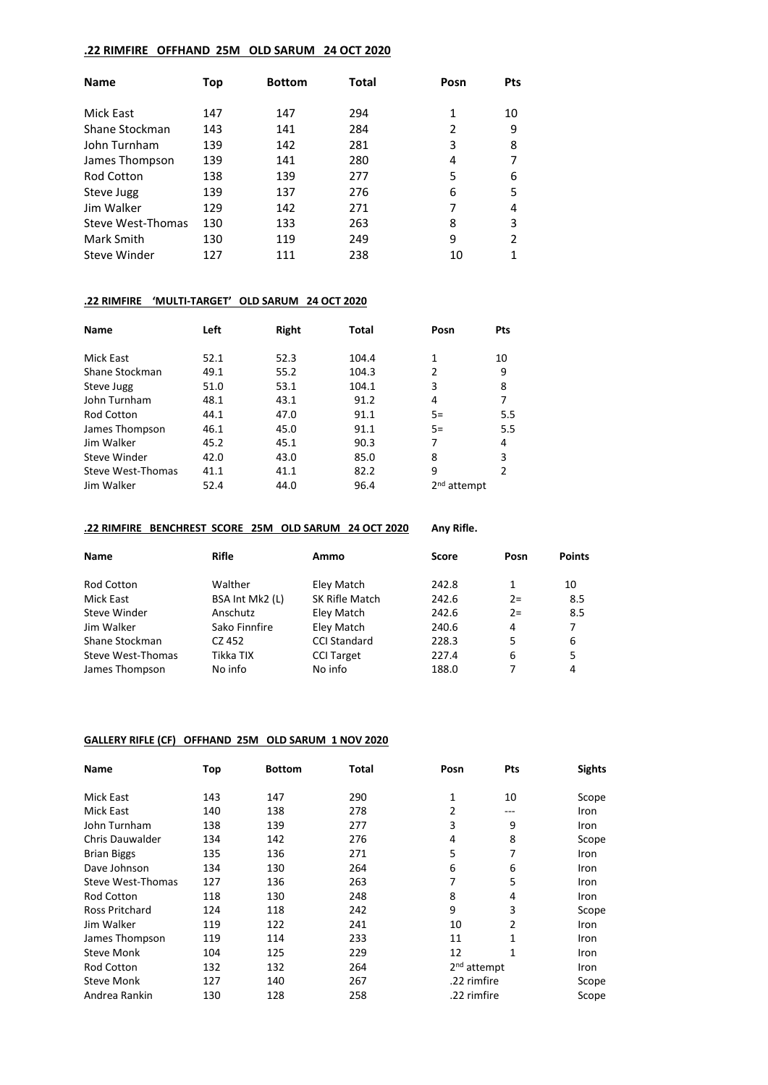### **.22 RIMFIRE OFFHAND 25M OLD SARUM 24 OCT 2020**

| <b>Name</b>         | Top | <b>Bottom</b> | Total | Posn | <b>Pts</b> |
|---------------------|-----|---------------|-------|------|------------|
| Mick East           | 147 | 147           | 294   | 1    | 10         |
| Shane Stockman      | 143 | 141           | 284   | 2    | 9          |
| John Turnham        | 139 | 142           | 281   | 3    | 8          |
| James Thompson      | 139 | 141           | 280   | 4    |            |
| <b>Rod Cotton</b>   | 138 | 139           | 277   | 5    | 6          |
| Steve Jugg          | 139 | 137           | 276   | 6    | 5          |
| Jim Walker          | 129 | 142           | 271   |      | 4          |
| Steve West-Thomas   | 130 | 133           | 263   | 8    | 3          |
| Mark Smith          | 130 | 119           | 249   | 9    | 2          |
| <b>Steve Winder</b> | 127 | 111           | 238   | 10   |            |

### **.22 RIMFIRE 'MULTI-TARGET' OLD SARUM 24 OCT 2020**

| <b>Name</b>       | Left | Right | <b>Total</b> | Posn           | Pts |
|-------------------|------|-------|--------------|----------------|-----|
|                   |      |       |              |                |     |
| Mick East         | 52.1 | 52.3  | 104.4        | 1              | 10  |
| Shane Stockman    | 49.1 | 55.2  | 104.3        | $\overline{2}$ | 9   |
| Steve Jugg        | 51.0 | 53.1  | 104.1        | 3              | 8   |
| John Turnham      | 48.1 | 43.1  | 91.2         | 4              | 7   |
| <b>Rod Cotton</b> | 44.1 | 47.0  | 91.1         | $5=$           | 5.5 |
| James Thompson    | 46.1 | 45.0  | 91.1         | $5=$           | 5.5 |
| Jim Walker        | 45.2 | 45.1  | 90.3         | 7              | 4   |
| Steve Winder      | 42.0 | 43.0  | 85.0         | 8              | 3   |
| Steve West-Thomas | 41.1 | 41.1  | 82.2         | 9              | 2   |
| Jim Walker        | 52.4 | 44.0  | 96.4         | $2nd$ attempt  |     |

### **.22 RIMFIRE BENCHREST SCORE 25M OLD SARUM 24 OCT 2020 Any Rifle.**

| Name              | Rifle           | Ammo                | <b>Score</b> | Posn  | <b>Points</b> |
|-------------------|-----------------|---------------------|--------------|-------|---------------|
|                   |                 |                     |              |       |               |
| <b>Rod Cotton</b> | Walther         | Eley Match          | 242.8        | 1     | 10            |
| Mick East         | BSA Int Mk2 (L) | SK Rifle Match      | 242.6        | $2 =$ | 8.5           |
| Steve Winder      | Anschutz        | Eley Match          | 242.6        | $2 =$ | 8.5           |
| Jim Walker        | Sako Finnfire   | Eley Match          | 240.6        | 4     | 7             |
| Shane Stockman    | CZ 452          | <b>CCI Standard</b> | 228.3        | 5     | 6             |
| Steve West-Thomas | Tikka TIX       | <b>CCI Target</b>   | 227.4        | 6     | 5             |
| James Thompson    | No info         | No info             | 188.0        |       | 4             |

### **GALLERY RIFLE (CF) OFFHAND 25M OLD SARUM 1 NOV 2020**

| <b>Name</b>            | Top | <b>Bottom</b> | Total | Posn                    | Pts | <b>Sights</b> |
|------------------------|-----|---------------|-------|-------------------------|-----|---------------|
| Mick East              | 143 | 147           | 290   | 1                       | 10  | Scope         |
| Mick East              | 140 | 138           | 278   | 2                       | --- | Iron          |
| John Turnham           | 138 | 139           | 277   | 3                       | 9   | Iron          |
| <b>Chris Dauwalder</b> | 134 | 142           | 276   | 4                       | 8   | Scope         |
| <b>Brian Biggs</b>     | 135 | 136           | 271   | 5                       | 7   | Iron          |
| Dave Johnson           | 134 | 130           | 264   | 6                       | 6   | Iron          |
| Steve West-Thomas      | 127 | 136           | 263   | 7                       | 5   | Iron          |
| <b>Rod Cotton</b>      | 118 | 130           | 248   | 8                       | 4   | Iron          |
| <b>Ross Pritchard</b>  | 124 | 118           | 242   | 9                       | 3   | Scope         |
| Jim Walker             | 119 | 122           | 241   | 10                      | 2   | Iron          |
| James Thompson         | 119 | 114           | 233   | 11                      | 1   | Iron          |
| <b>Steve Monk</b>      | 104 | 125           | 229   | 12                      | 1   | Iron          |
| <b>Rod Cotton</b>      | 132 | 132           | 264   | 2 <sup>nd</sup> attempt |     | Iron          |
| <b>Steve Monk</b>      | 127 | 140           | 267   | .22 rimfire             |     | Scope         |
| Andrea Rankin          | 130 | 128           | 258   | .22 rimfire             |     | Scope         |